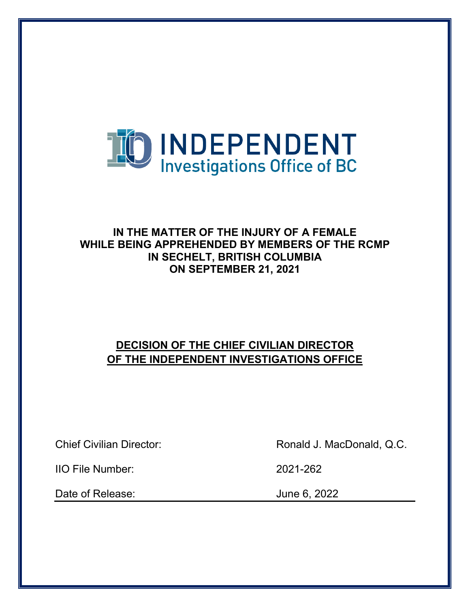

### **IN THE MATTER OF THE INJURY OF A FEMALE WHILE BEING APPREHENDED BY MEMBERS OF THE RCMP IN SECHELT, BRITISH COLUMBIA ON SEPTEMBER 21, 2021**

# **DECISION OF THE CHIEF CIVILIAN DIRECTOR OF THE INDEPENDENT INVESTIGATIONS OFFICE**

Chief Civilian Director: Ronald J. MacDonald, Q.C.

IIO File Number: 2021-262

Date of Release: June 6, 2022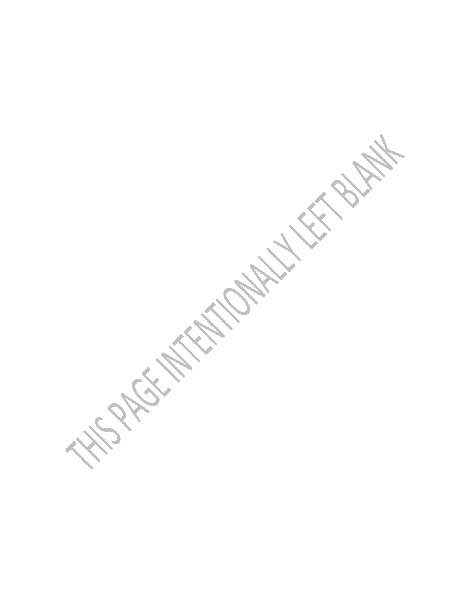Hispanish Maritim River Button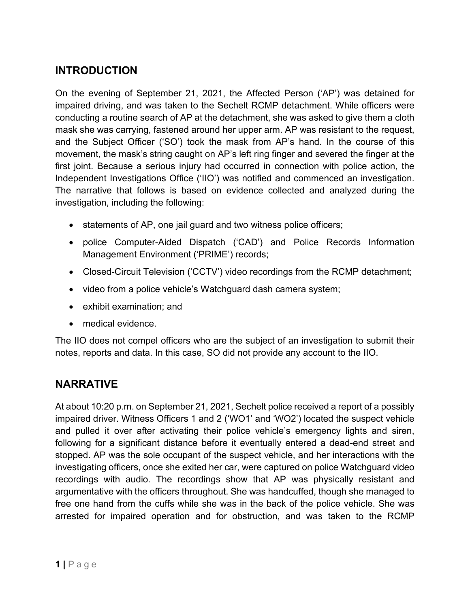### **INTRODUCTION**

On the evening of September 21, 2021, the Affected Person ('AP') was detained for impaired driving, and was taken to the Sechelt RCMP detachment. While officers were conducting a routine search of AP at the detachment, she was asked to give them a cloth mask she was carrying, fastened around her upper arm. AP was resistant to the request, and the Subject Officer ('SO') took the mask from AP's hand. In the course of this movement, the mask's string caught on AP's left ring finger and severed the finger at the first joint. Because a serious injury had occurred in connection with police action, the Independent Investigations Office ('IIO') was notified and commenced an investigation. The narrative that follows is based on evidence collected and analyzed during the investigation, including the following:

- statements of AP, one jail guard and two witness police officers;
- police Computer-Aided Dispatch ('CAD') and Police Records Information Management Environment ('PRIME') records;
- Closed-Circuit Television ('CCTV') video recordings from the RCMP detachment;
- video from a police vehicle's Watchguard dash camera system;
- exhibit examination; and
- medical evidence.

The IIO does not compel officers who are the subject of an investigation to submit their notes, reports and data. In this case, SO did not provide any account to the IIO.

#### **NARRATIVE**

At about 10:20 p.m. on September 21, 2021, Sechelt police received a report of a possibly impaired driver. Witness Officers 1 and 2 ('WO1' and 'WO2') located the suspect vehicle and pulled it over after activating their police vehicle's emergency lights and siren, following for a significant distance before it eventually entered a dead-end street and stopped. AP was the sole occupant of the suspect vehicle, and her interactions with the investigating officers, once she exited her car, were captured on police Watchguard video recordings with audio. The recordings show that AP was physically resistant and argumentative with the officers throughout. She was handcuffed, though she managed to free one hand from the cuffs while she was in the back of the police vehicle. She was arrested for impaired operation and for obstruction, and was taken to the RCMP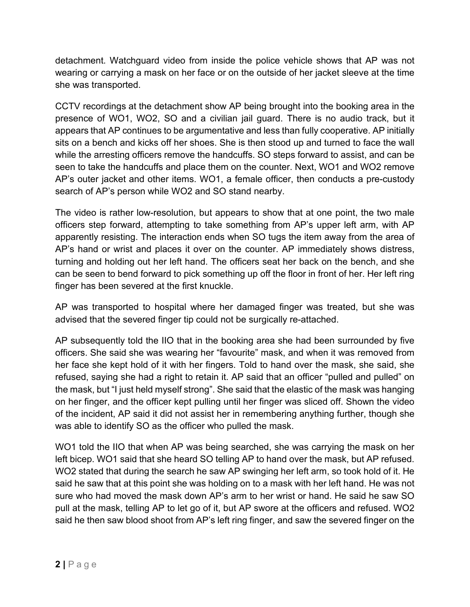detachment. Watchguard video from inside the police vehicle shows that AP was not wearing or carrying a mask on her face or on the outside of her jacket sleeve at the time she was transported.

CCTV recordings at the detachment show AP being brought into the booking area in the presence of WO1, WO2, SO and a civilian jail guard. There is no audio track, but it appears that AP continues to be argumentative and less than fully cooperative. AP initially sits on a bench and kicks off her shoes. She is then stood up and turned to face the wall while the arresting officers remove the handcuffs. SO steps forward to assist, and can be seen to take the handcuffs and place them on the counter. Next, WO1 and WO2 remove AP's outer jacket and other items. WO1, a female officer, then conducts a pre-custody search of AP's person while WO2 and SO stand nearby.

The video is rather low-resolution, but appears to show that at one point, the two male officers step forward, attempting to take something from AP's upper left arm, with AP apparently resisting. The interaction ends when SO tugs the item away from the area of AP's hand or wrist and places it over on the counter. AP immediately shows distress, turning and holding out her left hand. The officers seat her back on the bench, and she can be seen to bend forward to pick something up off the floor in front of her. Her left ring finger has been severed at the first knuckle.

AP was transported to hospital where her damaged finger was treated, but she was advised that the severed finger tip could not be surgically re-attached.

AP subsequently told the IIO that in the booking area she had been surrounded by five officers. She said she was wearing her "favourite" mask, and when it was removed from her face she kept hold of it with her fingers. Told to hand over the mask, she said, she refused, saying she had a right to retain it. AP said that an officer "pulled and pulled" on the mask, but "I just held myself strong". She said that the elastic of the mask was hanging on her finger, and the officer kept pulling until her finger was sliced off. Shown the video of the incident, AP said it did not assist her in remembering anything further, though she was able to identify SO as the officer who pulled the mask.

WO1 told the IIO that when AP was being searched, she was carrying the mask on her left bicep. WO1 said that she heard SO telling AP to hand over the mask, but AP refused. WO2 stated that during the search he saw AP swinging her left arm, so took hold of it. He said he saw that at this point she was holding on to a mask with her left hand. He was not sure who had moved the mask down AP's arm to her wrist or hand. He said he saw SO pull at the mask, telling AP to let go of it, but AP swore at the officers and refused. WO2 said he then saw blood shoot from AP's left ring finger, and saw the severed finger on the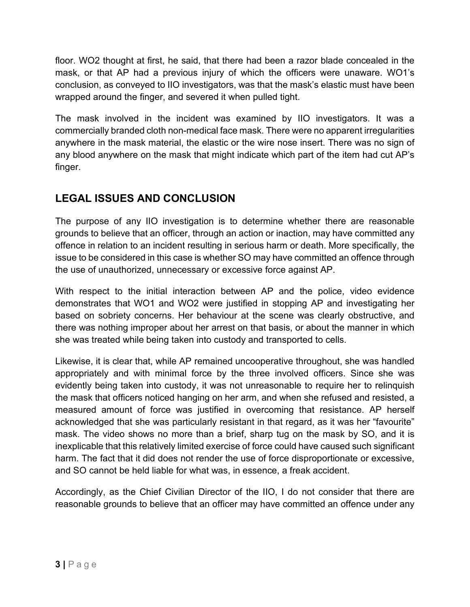floor. WO2 thought at first, he said, that there had been a razor blade concealed in the mask, or that AP had a previous injury of which the officers were unaware. WO1's conclusion, as conveyed to IIO investigators, was that the mask's elastic must have been wrapped around the finger, and severed it when pulled tight.

The mask involved in the incident was examined by IIO investigators. It was a commercially branded cloth non-medical face mask. There were no apparent irregularities anywhere in the mask material, the elastic or the wire nose insert. There was no sign of any blood anywhere on the mask that might indicate which part of the item had cut AP's finger.

# **LEGAL ISSUES AND CONCLUSION**

The purpose of any IIO investigation is to determine whether there are reasonable grounds to believe that an officer, through an action or inaction, may have committed any offence in relation to an incident resulting in serious harm or death. More specifically, the issue to be considered in this case is whether SO may have committed an offence through the use of unauthorized, unnecessary or excessive force against AP.

With respect to the initial interaction between AP and the police, video evidence demonstrates that WO1 and WO2 were justified in stopping AP and investigating her based on sobriety concerns. Her behaviour at the scene was clearly obstructive, and there was nothing improper about her arrest on that basis, or about the manner in which she was treated while being taken into custody and transported to cells.

Likewise, it is clear that, while AP remained uncooperative throughout, she was handled appropriately and with minimal force by the three involved officers. Since she was evidently being taken into custody, it was not unreasonable to require her to relinquish the mask that officers noticed hanging on her arm, and when she refused and resisted, a measured amount of force was justified in overcoming that resistance. AP herself acknowledged that she was particularly resistant in that regard, as it was her "favourite" mask. The video shows no more than a brief, sharp tug on the mask by SO, and it is inexplicable that this relatively limited exercise of force could have caused such significant harm. The fact that it did does not render the use of force disproportionate or excessive, and SO cannot be held liable for what was, in essence, a freak accident.

Accordingly, as the Chief Civilian Director of the IIO, I do not consider that there are reasonable grounds to believe that an officer may have committed an offence under any